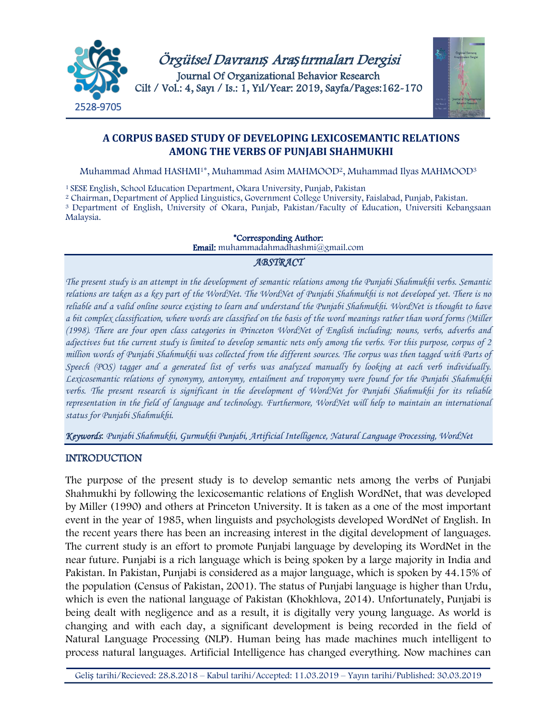



# **A CORPUS BASED STUDY OF DEVELOPING LEXICOSEMANTIC RELATIONS AMONG THE VERBS OF PUNJABI SHAHMUKHI**

Muhammad Ahmad HASHMI1\*, Muhammad Asim MAHMOOD2, Muhammad Ilyas MAHMOOD3

<sup>1</sup> SESE English, School Education Department, Okara University, Punjab, Pakistan

<sup>2</sup> Chairman, Department of Applied Linguistics, Government College University, Faislabad, Punjab, Pakistan. 3 Department of English, University of Okara, Punjab, Pakistan/Faculty of Education, Universiti Kebangsaan Malaysia.

> \*Corresponding Author: Email: muhammadahmadhashmi@gmail.com

# *ABSTRACT*

*The present study is an attempt in the development of semantic relations among the Punjabi Shahmukhi verbs. Semantic relations are taken as a key part of the WordNet. The WordNet of Punjabi Shahmukhi is not developed yet. There is no reliable and a valid online source existing to learn and understand the Punjabi Shahmukhi. WordNet is thought to have a bit complex classification, where words are classified on the basis of the word meanings rather than word forms (Miller (1998). There are four open class categories in Princeton WordNet of English including; nouns, verbs, adverbs and adjectives but the current study is limited to develop semantic nets only among the verbs. For this purpose, corpus of 2 million words of Punjabi Shahmukhi was collected from the different sources. The corpus was then tagged with Parts of Speech (POS) tagger and a generated list of verbs was analyzed manually by looking at each verb individually. Lexicosemantic relations of synonymy, antonymy, entailment and troponymy were found for the Punjabi Shahmukhi verbs. The present research is significant in the development of WordNet for Punjabi Shahmukhi for its reliable representation in the field of language and technology. Furthermore, WordNet will help to maintain an international status for Punjabi Shahmukhi.*

*Keywords*: *Punjabi Shahmukhi, Gurmukhi Punjabi, Artificial Intelligence, Natural Language Processing, WordNet*

# INTRODUCTION

The purpose of the present study is to develop semantic nets among the verbs of Punjabi Shahmukhi by following the lexicosemantic relations of English WordNet, that was developed by Miller (1990) and others at Princeton University. It is taken as a one of the most important event in the year of 1985, when linguists and psychologists developed WordNet of English. In the recent years there has been an increasing interest in the digital development of languages. The current study is an effort to promote Punjabi language by developing its WordNet in the near future. Punjabi is a rich language which is being spoken by a large majority in India and Pakistan. In Pakistan, Punjabi is considered as a major language, which is spoken by 44.15% of the population (Census of Pakistan, 2001). The status of Punjabi language is higher than Urdu, which is even the national language of Pakistan (Khokhlova, 2014). Unfortunately, Punjabi is being dealt with negligence and as a result, it is digitally very young language. As world is changing and with each day, a significant development is being recorded in the field of Natural Language Processing (NLP). Human being has made machines much intelligent to process natural languages. Artificial Intelligence has changed everything. Now machines can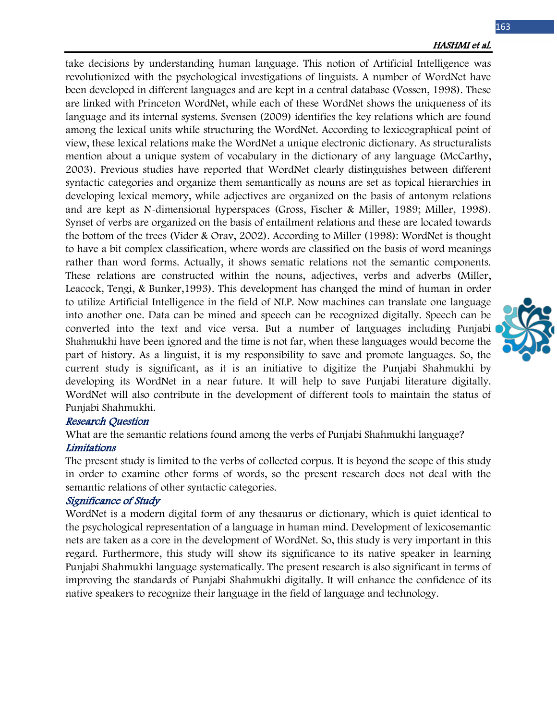take decisions by understanding human language. This notion of Artificial Intelligence was revolutionized with the psychological investigations of linguists. A number of WordNet have been developed in different languages and are kept in a central database (Vossen, 1998). These are linked with Princeton WordNet, while each of these WordNet shows the uniqueness of its language and its internal systems. Svensen (2009) identifies the key relations which are found among the lexical units while structuring the WordNet. According to lexicographical point of view, these lexical relations make the WordNet a unique electronic dictionary. As structuralists mention about a unique system of vocabulary in the dictionary of any language (McCarthy, 2003). Previous studies have reported that WordNet clearly distinguishes between different syntactic categories and organize them semantically as nouns are set as topical hierarchies in developing lexical memory, while adjectives are organized on the basis of antonym relations and are kept as N-dimensional hyperspaces (Gross, Fischer & Miller, 1989; Miller, 1998). Synset of verbs are organized on the basis of entailment relations and these are located towards the bottom of the trees (Vider & Orav, 2002). According to Miller (1998): WordNet is thought to have a bit complex classification, where words are classified on the basis of word meanings rather than word forms. Actually, it shows sematic relations not the semantic components. These relations are constructed within the nouns, adjectives, verbs and adverbs (Miller, Leacock, Tengi, & Bunker,1993). This development has changed the mind of human in order to utilize Artificial Intelligence in the field of NLP. Now machines can translate one language into another one. Data can be mined and speech can be recognized digitally. Speech can be converted into the text and vice versa. But a number of languages including Punjabi Shahmukhi have been ignored and the time is not far, when these languages would become the part of history. As a linguist, it is my responsibility to save and promote languages. So, the current study is significant, as it is an initiative to digitize the Punjabi Shahmukhi by developing its WordNet in a near future. It will help to save Punjabi literature digitally. WordNet will also contribute in the development of different tools to maintain the status of Punjabi Shahmukhi.

#### Research Question

What are the semantic relations found among the verbs of Punjabi Shahmukhi language?

### Limitations

The present study is limited to the verbs of collected corpus. It is beyond the scope of this study in order to examine other forms of words, so the present research does not deal with the semantic relations of other syntactic categories.

### Significance of Study

WordNet is a modern digital form of any thesaurus or dictionary, which is quiet identical to the psychological representation of a language in human mind. Development of lexicosemantic nets are taken as a core in the development of WordNet. So, this study is very important in this regard. Furthermore, this study will show its significance to its native speaker in learning Punjabi Shahmukhi language systematically. The present research is also significant in terms of improving the standards of Punjabi Shahmukhi digitally. It will enhance the confidence of its native speakers to recognize their language in the field of language and technology.

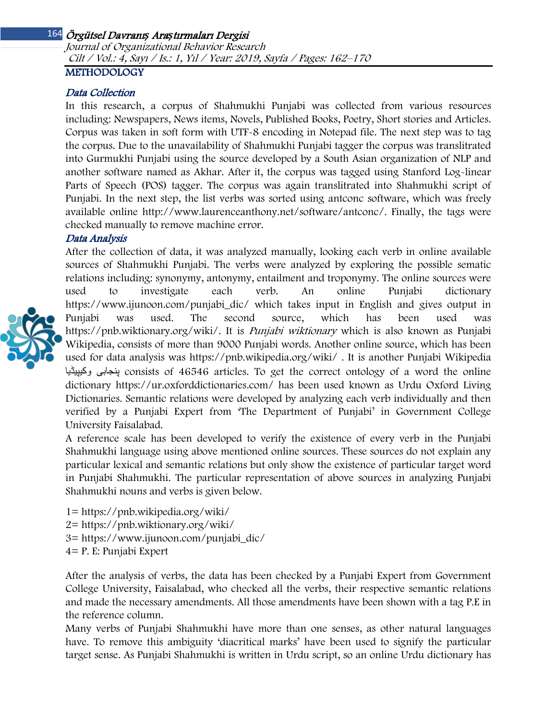Journal of Organizational Behavior Research Cilt / Vol.: 4, Sayı / Is.: 1, Yıl / Year: 2019, Sayfa / Pages: 162–170

# METHODOLOGY

### Data Collection

In this research, a corpus of Shahmukhi Punjabi was collected from various resources including: Newspapers, News items, Novels, Published Books, Poetry, Short stories and Articles. Corpus was taken in soft form with UTF-8 encoding in Notepad file. The next step was to tag the corpus. Due to the unavailability of Shahmukhi Punjabi tagger the corpus was translitrated into Gurmukhi Punjabi using the source developed by a South Asian organization of NLP and another software named as Akhar. After it, the corpus was tagged using Stanford Log-linear Parts of Speech (POS) tagger. The corpus was again translitrated into Shahmukhi script of Punjabi. In the next step, the list verbs was sorted using antconc software, which was freely available online http://www.laurenceanthony.net/software/antconc/. Finally, the tags were checked manually to remove machine error.

### Data Analysis



After the collection of data, it was analyzed manually, looking each verb in online available sources of Shahmukhi Punjabi. The verbs were analyzed by exploring the possible sematic relations including: synonymy, antonymy, entailment and troponymy. The online sources were used to investigate each verb. An online Punjabi dictionary https://www.ijunoon.com/punjabi\_dic/ which takes input in English and gives output in Punjabi was used. The second source, which has been used was [https://pnb.wiktionary.org/wiki/.](https://pnb.wiktionary.org/wiki/) It is *Punjabi wiktionary* which is also known as Punjabi Wikipedia, consists of more than 9000 Punjabi words. Another online source, which has been used for data analysis was<https://pnb.wikipedia.org/wiki/> . It is another Punjabi Wikipedia وکیپیڈیا پنجابی consists of 46546 articles. To get the correct ontology of a word the online dictionary<https://ur.oxforddictionaries.com/> has been used known as Urdu Oxford Living Dictionaries. Semantic relations were developed by analyzing each verb individually and then verified by a Punjabi Expert from 'The Department of Punjabi' in Government College University Faisalabad.

A reference scale has been developed to verify the existence of every verb in the Punjabi Shahmukhi language using above mentioned online sources. These sources do not explain any particular lexical and semantic relations but only show the existence of particular target word in Punjabi Shahmukhi. The particular representation of above sources in analyzing Punjabi Shahmukhi nouns and verbs is given below.

- 1=<https://pnb.wikipedia.org/wiki/>
- 2=<https://pnb.wiktionary.org/wiki/>
- 3= [https://www.ijunoon.com/punjabi\\_dic/](https://www.ijunoon.com/punjabi_dic/)
- 4= P. E: Punjabi Expert

After the analysis of verbs, the data has been checked by a Punjabi Expert from Government College University, Faisalabad, who checked all the verbs, their respective semantic relations and made the necessary amendments. All those amendments have been shown with a tag P.E in the reference column.

Many verbs of Punjabi Shahmukhi have more than one senses, as other natural languages have. To remove this ambiguity 'diacritical marks' have been used to signify the particular target sense. As Punjabi Shahmukhi is written in Urdu script, so an online Urdu dictionary has

164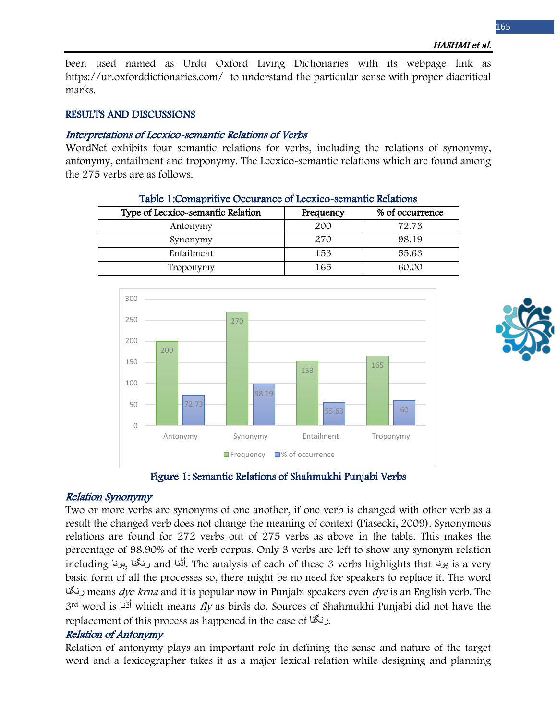been used named as Urdu Oxford Living Dictionaries with its webpage link as https://ur.oxforddictionaries.com/ to understand the particular sense with proper diacritical marks.

#### RESULTS AND DISCUSSIONS

#### Interpretations of Lecxico-semantic Relations of Verbs

WordNet exhibits four semantic relations for verbs, including the relations of synonymy, antonymy, entailment and troponymy. The Lecxico-semantic relations which are found among the 275 verbs are as follows.

Table 1:Comapritive Occurance of Lecxico-semantic Relations

| Type of Lecxico-semantic Relation | Frequency | % of occurrence |
|-----------------------------------|-----------|-----------------|
| Antonymy                          | 200       | 72.73           |
| Synonymy                          | 270       | 98.19           |
| Entailment                        | 153       | 55.63           |
| Troponymy                         | 165       | 60.00           |





#### Relation Synonymy

Two or more verbs are synonyms of one another, if one verb is changed with other verb as a result the changed verb does not change the meaning of context (Piasecki, 2009). Synonymous relations are found for 272 verbs out of 275 verbs as above in the table. This makes the percentage of 98.90% of the verb corpus. Only 3 verbs are left to show any synonym relation ُڈنا and رنگنا ,ہونا including ا. The analysis of each of these 3 verbs highlights that ہونا is a very basic form of all the processes so, there might be no need for speakers to replace it. The word رنگنا means *dye krna* and it is popular now in Punjabi speakers even *dye* is an English verb. The 3<sup>rd</sup> word is <sup>أ</sup>َدَّنا which means *fly* as birds do. Sources of Shahmukhi Punjabi did not have the replacement of this process as happened in the case of رنگنا.

# Relation of Antonymy

Relation of antonymy plays an important role in defining the sense and nature of the target word and a lexicographer takes it as a major lexical relation while designing and planning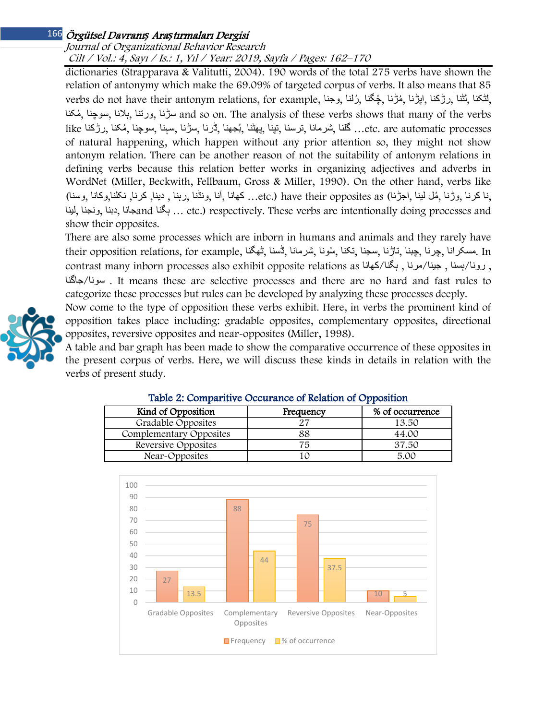# Journal of Organizational Behavior Research

Cilt / Vol.: 4, Sayı / Is.: 1, Yıl / Year: 2019, Sayfa / Pages: 162–170

dictionaries (Strapparava & Valitutti, 2004). 190 words of the total 275 verbs have shown the relation of antonymy which make the 69.09% of targeted corpus of verbs. It also means that 85 verbs do not have their antonym relations, for example, وجنا, رلناُ , چگناُ , مڑناُ , اپڑنا, رڑکنا, لڻنا, لڻکنا, مکناُ , سوچنا, ہلانا, ورتنا, سڑنا and so on. The analysis of these verbs shows that many of the verbs like مُكنا ,رڑكنا )... گلنا ,شرمانا ,ترسنا ,تپنا ,پھٹنا ,بُجهنا ,ٹرنا ,سڑنا ,سہنا ,سوچنا ,مُكنا ,رڑكنا. of natural happening, which happen without any prior attention so, they might not show antonym relation. There can be another reason of not the suitability of antonym relations in defining verbs because this relation better works in organizing adjectives and adverbs in WordNet (Miller, Beckwith, Fellbaum, Gross & Miller, 1990). On the other hand, verbs like ,نا کرنا ,وڑنا , ُمل لینا ,اجڑنا) as opposites their have) .etc …کھانا ,آنا ,ونڈنا ,رہنا , دینا, کرنا, نکلنا,وکانا ,وسنا) لینا, ونجنا, دبنا, جاناand ہگنا ... etc.) respectively. These verbs are intentionally doing processes and show their opposites.

There are also some processes which are inborn in humans and animals and they rarely have In .مسکرانا ,چرنا ,چبنا ,تاڑنا ,سجنا ,تکنا , ُسونا ,شرمانا ,ڈسنا ,ڻھگنا ,example for ,relations opposition their contrast many inborn processes also exhibit opposite relations as (برونا/بسنا , جینا/مرنا , بگنا/کھانا , جاگنا/سونا . It means these are selective processes and there are no hard and fast rules to categorize these processes but rules can be developed by analyzing these processes deeply.

Now come to the type of opposition these verbs exhibit. Here, in verbs the prominent kind of opposition takes place including: gradable opposites, complementary opposites, directional opposites, reversive opposites and near-opposites (Miller, 1998).

A table and bar graph has been made to show the comparative occurrence of these opposites in the present corpus of verbs. Here, we will discuss these kinds in details in relation with the verbs of present study.

| Table 2: Comparitive Occurance of Relation of Opposition |           |                 |  |
|----------------------------------------------------------|-----------|-----------------|--|
| Kind of Opposition                                       | Frequency | % of occurrence |  |
| Gradable Opposites                                       | 27        | 13.50           |  |
| Complementary Opposites                                  | 88        | 44.00           |  |
| Reversive Opposites                                      | 75        | 37.50           |  |
| Near-Opposites                                           |           | 5.00            |  |

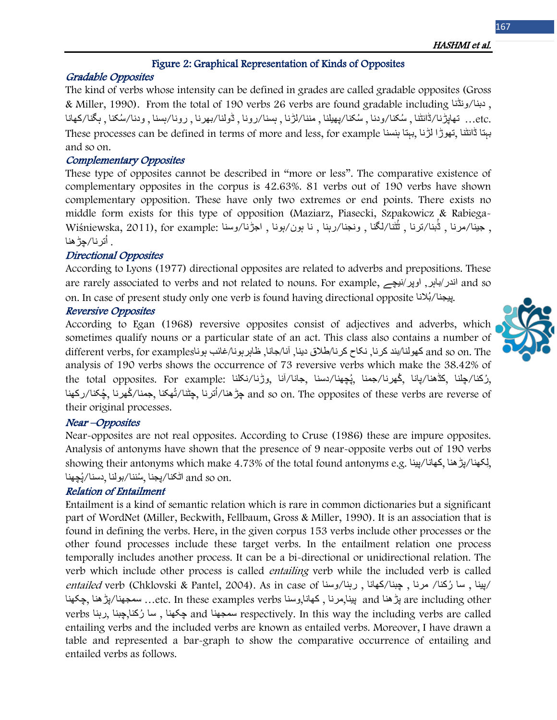### HASHMI et al.

# Figure 2: Graphical Representation of Kinds of Opposites

### Gradable Opposites

The kind of verbs whose intensity can be defined in grades are called gradable opposites (Gross & Miller, 1990). From the total of 190 verbs 26 verbs are found gradable including ونڈنا/دبنا , .etc …تھاپڑنا/ڈانڻنا , ُسکنا/ودنا , ُسکنا/پھیلنا , مننا/لڑنا , ہسنا/رونا , ڈولنا/بھرنا , رونا/ہسنا , ودنا/ ُسکنا , ہگنا/کھانا These processes can be defined in terms of more and less, for example ببتا ڈانٹنا تھوڑا لڑنا ببتا ہنسنا and so on.

# Complementary Opposites

These type of opposites cannot be described in "more or less". The comparative existence of complementary opposites in the corpus is 42.63%. 81 verbs out of 190 verbs have shown complementary opposition. These have only two extremes or end points. There exists no middle form exists for this type of opposition (Maziarz, Piasecki, Szpakowicz & Rabiega-, جينا/مرنا , ثُبنا/لترنا , ثُثنا/لگنا , ونجنا/رہنا , نا بون/بونا , اجڑنا/وسنا :Wiśniewska, 2011), for example ُترنا/چڑھنا . ا

### Directional Opposites

According to Lyons (1977) directional opposites are related to adverbs and prepositions. These are rarely associated to verbs and not related to nouns. For example, نیچے/اوپر ,باہر/اندر and so on. In case of present study only one verb is found having directional opposite ييجنا/بُلانا.

#### Reversive Opposites

According to Egan (1968) reversive opposites consist of adjectives and adverbs, which sometimes qualify nouns or a particular state of an act. This class also contains a number of and so on. The کھولنا/بند کرنا, نکاح کرنا/طلاق دینا, آنا/جانا, ظاہرہونا/غائب ہوناlifferent verbs, for examples analysis of 190 verbs shows the occurrence of 73 reversive verbs which make the 38.42% of the total opposites. For example: کارچلنا ,چهنا/دسنا ,جانا/آنا ,وڑنا/نکلنا, بوٹا/بانا ,فیچھنا/جمنا , and so on. The opposites of these verbs are reverse of جڑھنا/اُترنا ,چٹنا/تُھکنا ,جمنا/گھرنا ,چُکنا/رکھنا $\,$ their original processes.

### Near –Opposites

Near-opposites are not real opposites. According to Cruse (1986) these are impure opposites. Analysis of antonyms have shown that the presence of 9 near-opposite verbs out of 190 verbs showing their antonyms which make 4.73% of the total found antonyms e.g. إلكهنا/يونا, ُچھنا .on so and اڻکنا/پجنا , ُسننا/بولنا ,دسنا/پ

### Relation of Entailment

Entailment is a kind of semantic relation which is rare in common dictionaries but a significant part of WordNet (Miller, Beckwith, Fellbaum, Gross & Miller, 1990). It is an association that is found in defining the verbs. Here, in the given corpus 153 verbs include other processes or the other found processes include these target verbs. In the entailment relation one process temporally includes another process. It can be a bi-directional or unidirectional relation. The verb which include other process is called *entailing* verb while the included verb is called entailed verb (Chklovski & Pantel, 2004). As in case of ابینا , سا رُکنا/ مرنا , چبنا/کھانا , رہنا/وسنا ) are including other ویڑھنا and وسنا , کھانا وسنا etc. In these examples verbs وسنا ,چکھنا ,چکھنا ,چکھنا ,چکھنا verbs رہنا, چبنا,رکنا سا ُ , چکھنا and سمجھنا respectively. In this way the including verbs are called entailing verbs and the included verbs are known as entailed verbs. Moreover, I have drawn a table and represented a bar-graph to show the comparative occurrence of entailing and entailed verbs as follows.

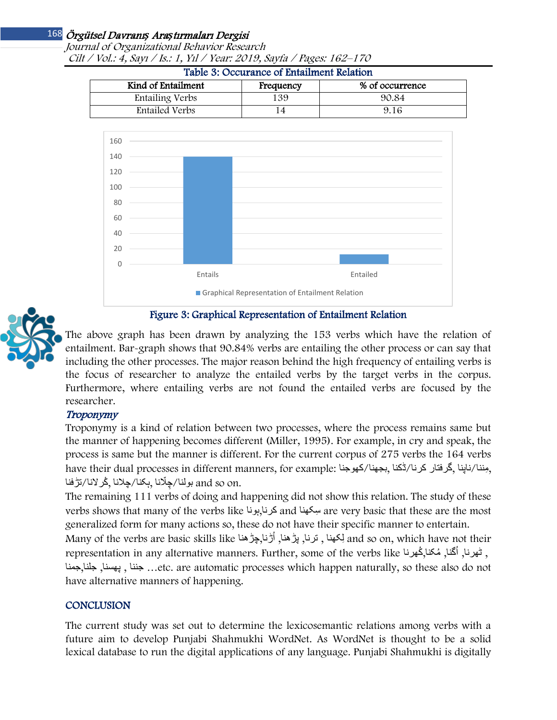Journal of Organizational Behavior Research Cilt / Vol.: 4, Sayı / Is.: 1, Yıl / Year: 2019, Sayfa / Pages: 162–170

| Kind of Entailment | Frequency | % of occurrence |
|--------------------|-----------|-----------------|
| Entailing Verbs    | 139       | 90.84           |
| Entailed Verbs     |           | 9.16            |







# Figure 3: Graphical Representation of Entailment Relation

The above graph has been drawn by analyzing the 153 verbs which have the relation of entailment. Bar-graph shows that 90.84% verbs are entailing the other process or can say that including the other processes. The major reason behind the high frequency of entailing verbs is the focus of researcher to analyze the entailed verbs by the target verbs in the corpus. Furthermore, where entailing verbs are not found the entailed verbs are focused by the researcher.

# Troponymy

Troponymy is a kind of relation between two processes, where the process remains same but the manner of happening becomes different (Miller, 1995). For example, in cry and speak, the process is same but the manner is different. For the current corpus of 275 verbs the 164 verbs have their dual processes in different manners, for example: كھوجنا, اجھنا/ڈكنا, بجھنا/کھوجنا, have their dual .and so on بولنا/چِلّانا ,ہکنا/چلانا ,گُرلانا/تڑفنا ,

The remaining 111 verbs of doing and happening did not show this relation. The study of these verbs shows that many of the verbs like ہونا,کرنا and سکھناِ are very basic that these are the most generalized form for many actions so, these do not have their specific manner to entertain.

Many of the verbs are basic skills like لِكهنا , ترنا, بڑھنا, أُڑنا,چڑھنا ,ترنا ,تر مندا ,many of the verbs are representation in any alternative manners. Further, some of the verbs like کھرنا, اُگنا<sub>ُ،</sub> مُکنا<sub>ُ،</sub>گُھرنا جننا , پھسنا, جلنا , جننا , جننا , جننا , جننا , جننا , جننا , جلنا , جسنا, جننا , ویسنا, جلنا , etc. are automatic processes which happen naturally, so these also do not have alternative manners of happening.

# **CONCLUSION**

The current study was set out to determine the lexicosemantic relations among verbs with a future aim to develop Punjabi Shahmukhi WordNet. As WordNet is thought to be a solid lexical database to run the digital applications of any language. Punjabi Shahmukhi is digitally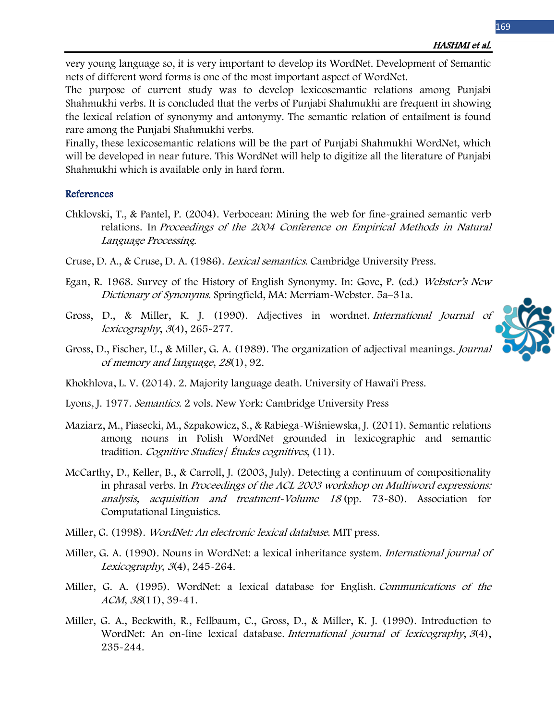very young language so, it is very important to develop its WordNet. Development of Semantic nets of different word forms is one of the most important aspect of WordNet.

The purpose of current study was to develop lexicosemantic relations among Punjabi Shahmukhi verbs. It is concluded that the verbs of Punjabi Shahmukhi are frequent in showing the lexical relation of synonymy and antonymy. The semantic relation of entailment is found rare among the Punjabi Shahmukhi verbs.

Finally, these lexicosemantic relations will be the part of Punjabi Shahmukhi WordNet, which will be developed in near future. This WordNet will help to digitize all the literature of Punjabi Shahmukhi which is available only in hard form.

#### References

- Chklovski, T., & Pantel, P. (2004). Verbocean: Mining the web for fine-grained semantic verb relations. In Proceedings of the 2004 Conference on Empirical Methods in Natural Language Processing.
- Cruse, D. A., & Cruse, D. A. (1986). Lexical semantics. Cambridge University Press.
- Egan, R. 1968. Survey of the History of English Synonymy. In: Gove, P. (ed.) Webster's New Dictionary of Synonyms. Springfield, MA: Merriam-Webster. 5a–31a.
- Gross, D., & Miller, K. J. (1990). Adjectives in wordnet. International Journal of lexicography, <sup>3</sup>(4), 265-277.
- Gross, D., Fischer, U., & Miller, G. A. (1989). The organization of adjectival meanings. Journal of memory and language, <sup>28</sup>(1), 92.
- Khokhlova, L. V. (2014). 2. Majority language death. University of Hawai'i Press.
- Lyons, J. 1977. Semantics. 2 vols. New York: Cambridge University Press
- Maziarz, M., Piasecki, M., Szpakowicz, S., & Rabiega-Wiśniewska, J. (2011). Semantic relations among nouns in Polish WordNet grounded in lexicographic and semantic tradition. Cognitive Studies / Études cognitives, (11).
- McCarthy, D., Keller, B., & Carroll, J. (2003, July). Detecting a continuum of compositionality in phrasal verbs. In Proceedings of the ACL 2003 workshop on Multiword expressions: analysis, acquisition and treatment-Volume 18 (pp. 73-80). Association for Computational Linguistics.
- Miller, G. (1998). WordNet: An electronic lexical database. MIT press.
- Miller, G. A. (1990). Nouns in WordNet: a lexical inheritance system. International journal of Lexicography, <sup>3</sup>(4), 245-264.
- Miller, G. A. (1995). WordNet: a lexical database for English. Communications of the ACM, <sup>38</sup>(11), 39-41.
- Miller, G. A., Beckwith, R., Fellbaum, C., Gross, D., & Miller, K. J. (1990). Introduction to WordNet: An on-line lexical database. International journal of lexicography, 3(4), 235-244.